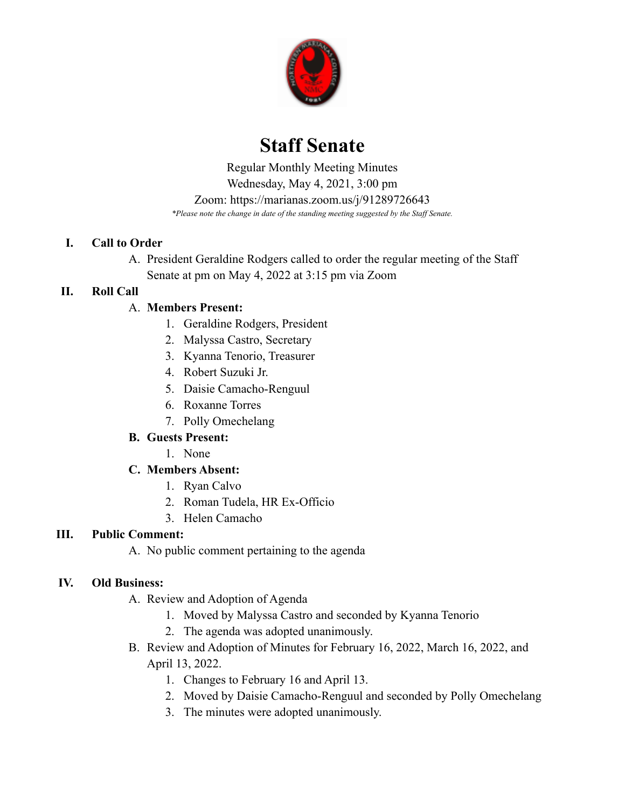

# **Staff Senate**

 *\*Please note the change in date of the standing meeting suggested by the Staff Senate.* Regular Monthly Meeting Minutes Wednesday, May 4, 2021, 3:00 pm Zoom: <https://marianas.zoom.us/j/91289726643>

## **I. Call to Order**

A. President Geraldine Rodgers called to order the regular meeting of the Staff Senate at pm on May 4, 2022 at 3:15 pm via Zoom

# **II. Roll Call**

# A. **Members Present:**

- 1. Geraldine Rodgers, President
- 2. Malyssa Castro, Secretary
- 3. Kyanna Tenorio, Treasurer
- 4. Robert Suzuki Jr.
- 5. Daisie Camacho-Renguul
- 6. Roxanne Torres
- 7. Polly Omechelang

# **B. Guests Present:**

1. None

# **C. Members Absent:**

- 1. Ryan Calvo
- 2. Roman Tudela, HR Ex-Officio
- 3. Helen Camacho

# **III. Public Comment:**

A. No public comment pertaining to the agenda

# **IV. Old Business:**

- A. Review and Adoption of Agenda
	- 1. Moved by Malyssa Castro and seconded by Kyanna Tenorio
	- 2. The agenda was adopted unanimously.
- B. Review and Adoption of Minutes for February 16, 2022, March 16, 2022, and April 13, 2022.
	- 1. Changes to February 16 and April 13.
	- 2. Moved by Daisie Camacho-Renguul and seconded by Polly Omechelang
	- 3. The minutes were adopted unanimously.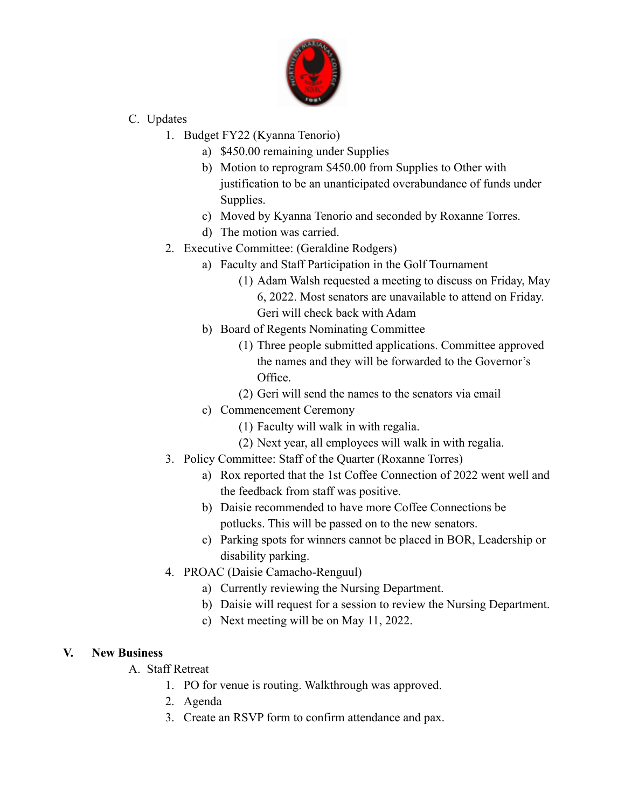

- C. Updates
	- 1. Budget FY22 (Kyanna Tenorio)
		- a) \$450.00 remaining under Supplies
		- b) Motion to reprogram \$450.00 from Supplies to Other with justification to be an unanticipated overabundance of funds under Supplies.
		- c) Moved by Kyanna Tenorio and seconded by Roxanne Torres.
		- d) The motion was carried.
	- 2. Executive Committee: (Geraldine Rodgers)
		- a) Faculty and Staff Participation in the Golf Tournament
			- (1) Adam Walsh requested a meeting to discuss on Friday, May 6, 2022. Most senators are unavailable to attend on Friday. Geri will check back with Adam
		- b) Board of Regents Nominating Committee
			- (1) Three people submitted applications. Committee approved the names and they will be forwarded to the Governor's Office.
			- (2) Geri will send the names to the senators via email
		- c) Commencement Ceremony
			- (1) Faculty will walk in with regalia.
			- (2) Next year, all employees will walk in with regalia.
	- 3. Policy Committee: Staff of the Quarter (Roxanne Torres)
		- a) Rox reported that the 1st Coffee Connection of 2022 went well and the feedback from staff was positive.
		- b) Daisie recommended to have more Coffee Connections be potlucks. This will be passed on to the new senators.
		- c) Parking spots for winners cannot be placed in BOR, Leadership or disability parking.
	- 4. PROAC (Daisie Camacho-Renguul)
		- a) Currently reviewing the Nursing Department.
		- b) Daisie will request for a session to review the Nursing Department.
		- c) Next meeting will be on May 11, 2022.

## **V. New Business**

- A. Staff Retreat
	- 1. PO for venue is routing. Walkthrough was approved.
	- 2. Agenda
	- 3. Create an RSVP form to confirm attendance and pax.